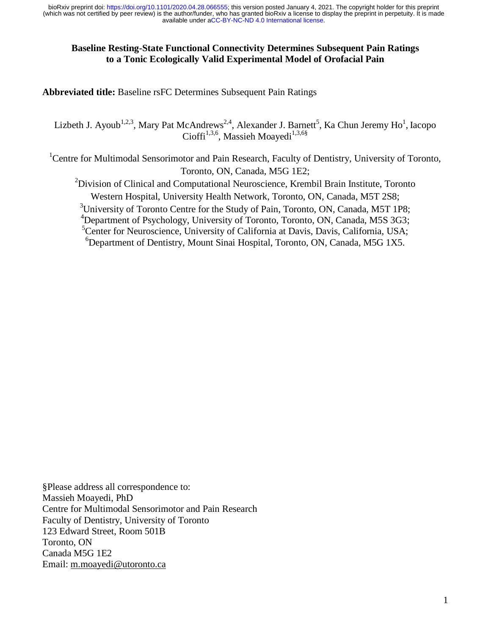# **Baseline Resting-State Functional Connectivity Determines Subsequent Pain Ratings to a Tonic Ecologically Valid Experimental Model of Orofacial Pain**

**Abbreviated title:** Baseline rsFC Determines Subsequent Pain Ratings

Lizbeth J. Ayoub<sup>1,2,3</sup>, Mary Pat McAndrews<sup>2,4</sup>, Alexander J. Barnett<sup>5</sup>, Ka Chun Jeremy Ho<sup>1</sup>, Iacopo Cioffi<sup>1,3,6</sup>, Massieh Moayedi<sup>1,3,6§</sup>

<sup>1</sup>Centre for Multimodal Sensorimotor and Pain Research, Faculty of Dentistry, University of Toronto, Toronto, ON, Canada, M5G 1E2;

<sup>2</sup>Division of Clinical and Computational Neuroscience, Krembil Brain Institute, Toronto Western Hospital, University Health Network, Toronto, ON, Canada, M5T 2S8; <sup>3</sup>University of Toronto Centre for the Study of Pain, Toronto, ON, Canada, M5T 1P8; <sup>4</sup>Department of Psychology, University of Toronto, Toronto, ON, Canada, M5S 3G3; <sup>5</sup>Center for Neuroscience, University of California at Davis, Davis, California, USA; 6 Department of Dentistry, Mount Sinai Hospital, Toronto, ON, Canada, M5G 1X5.

§Please address all correspondence to: Massieh Moayedi, PhD Centre for Multimodal Sensorimotor and Pain Research Faculty of Dentistry, University of Toronto 123 Edward Street, Room 501B Toronto, ON Canada M5G 1E2 Email: m.moayedi@utoronto.ca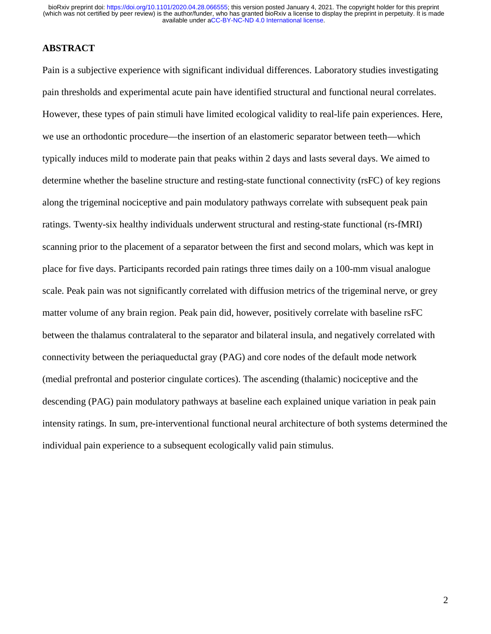## **ABSTRACT**

Pain is a subjective experience with significant individual differences. Laboratory studies investigating pain thresholds and experimental acute pain have identified structural and functional neural correlates. However, these types of pain stimuli have limited ecological validity to real-life pain experiences. Here, we use an orthodontic procedure—the insertion of an elastomeric separator between teeth—which typically induces mild to moderate pain that peaks within 2 days and lasts several days. We aimed to determine whether the baseline structure and resting-state functional connectivity (rsFC) of key regions along the trigeminal nociceptive and pain modulatory pathways correlate with subsequent peak pain ratings. Twenty-six healthy individuals underwent structural and resting-state functional (rs-fMRI) scanning prior to the placement of a separator between the first and second molars, which was kept in place for five days. Participants recorded pain ratings three times daily on a 100-mm visual analogue scale. Peak pain was not significantly correlated with diffusion metrics of the trigeminal nerve, or grey matter volume of any brain region. Peak pain did, however, positively correlate with baseline rsFC between the thalamus contralateral to the separator and bilateral insula, and negatively correlated with connectivity between the periaqueductal gray (PAG) and core nodes of the default mode network (medial prefrontal and posterior cingulate cortices). The ascending (thalamic) nociceptive and the descending (PAG) pain modulatory pathways at baseline each explained unique variation in peak pain intensity ratings. In sum, pre-interventional functional neural architecture of both systems determined the individual pain experience to a subsequent ecologically valid pain stimulus.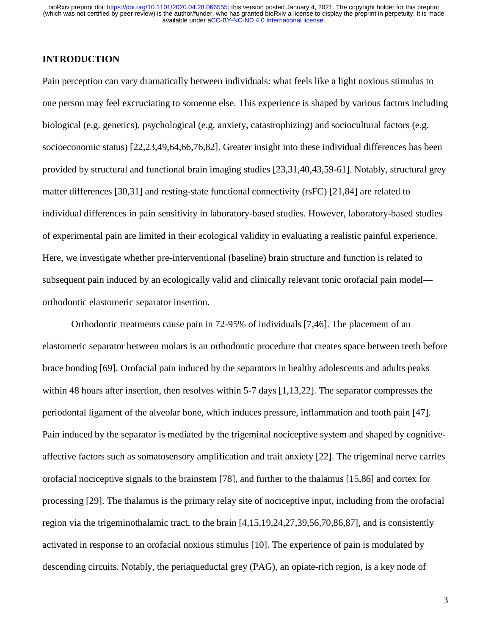# **INTRODUCTION**

Pain perception can vary dramatically between individuals: what feels like a light noxious stimulus to one person may feel excruciating to someone else. This experience is shaped by various factors including biological (e.g. genetics), psychological (e.g. anxiety, catastrophizing) and sociocultural factors (e.g. socioeconomic status) [22,23,49,64,66,76,82]. Greater insight into these individual differences has been provided by structural and functional brain imaging studies [23,31,40,43,59-61]. Notably, structural grey matter differences [30,31] and resting-state functional connectivity (rsFC) [21,84] are related to individual differences in pain sensitivity in laboratory-based studies. However, laboratory-based studies of experimental pain are limited in their ecological validity in evaluating a realistic painful experience. Here, we investigate whether pre-interventional (baseline) brain structure and function is related to subsequent pain induced by an ecologically valid and clinically relevant tonic orofacial pain model orthodontic elastomeric separator insertion.

 Orthodontic treatments cause pain in 72-95% of individuals [7,46]. The placement of an elastomeric separator between molars is an orthodontic procedure that creates space between teeth before brace bonding [69]. Orofacial pain induced by the separators in healthy adolescents and adults peaks within 48 hours after insertion, then resolves within 5-7 days [1,13,22]. The separator compresses the periodontal ligament of the alveolar bone, which induces pressure, inflammation and tooth pain [47]. Pain induced by the separator is mediated by the trigeminal nociceptive system and shaped by cognitiveaffective factors such as somatosensory amplification and trait anxiety [22]. The trigeminal nerve carries orofacial nociceptive signals to the brainstem [78], and further to the thalamus [15,86] and cortex for processing [29]. The thalamus is the primary relay site of nociceptive input, including from the orofacial region via the trigeminothalamic tract, to the brain [4,15,19,24,27,39,56,70,86,87], and is consistently activated in response to an orofacial noxious stimulus [10]. The experience of pain is modulated by descending circuits. Notably, the periaqueductal grey (PAG), an opiate-rich region, is a key node of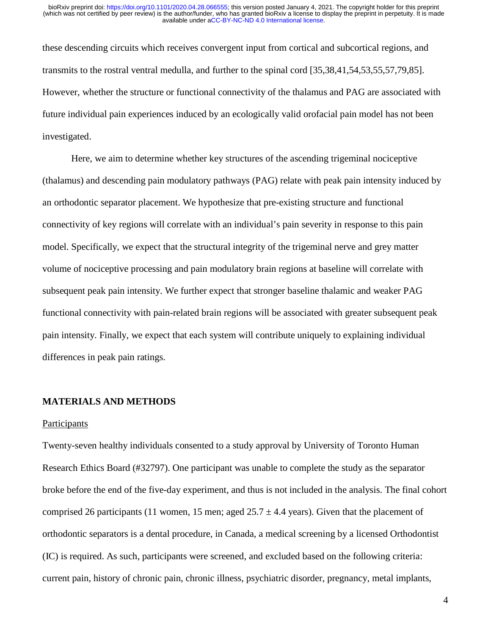these descending circuits which receives convergent input from cortical and subcortical regions, and transmits to the rostral ventral medulla, and further to the spinal cord [35,38,41,54,53,55,57,79,85]. However, whether the structure or functional connectivity of the thalamus and PAG are associated with future individual pain experiences induced by an ecologically valid orofacial pain model has not been investigated.

Here, we aim to determine whether key structures of the ascending trigeminal nociceptive (thalamus) and descending pain modulatory pathways (PAG) relate with peak pain intensity induced by an orthodontic separator placement. We hypothesize that pre-existing structure and functional connectivity of key regions will correlate with an individual's pain severity in response to this pain model. Specifically, we expect that the structural integrity of the trigeminal nerve and grey matter volume of nociceptive processing and pain modulatory brain regions at baseline will correlate with subsequent peak pain intensity. We further expect that stronger baseline thalamic and weaker PAG functional connectivity with pain-related brain regions will be associated with greater subsequent peak pain intensity. Finally, we expect that each system will contribute uniquely to explaining individual differences in peak pain ratings.

#### **MATERIALS AND METHODS**

#### Participants

Twenty-seven healthy individuals consented to a study approval by University of Toronto Human Research Ethics Board (#32797). One participant was unable to complete the study as the separator broke before the end of the five-day experiment, and thus is not included in the analysis. The final cohort comprised 26 participants (11 women, 15 men; aged  $25.7 \pm 4.4$  years). Given that the placement of orthodontic separators is a dental procedure, in Canada, a medical screening by a licensed Orthodontist (IC) is required. As such, participants were screened, and excluded based on the following criteria: current pain, history of chronic pain, chronic illness, psychiatric disorder, pregnancy, metal implants,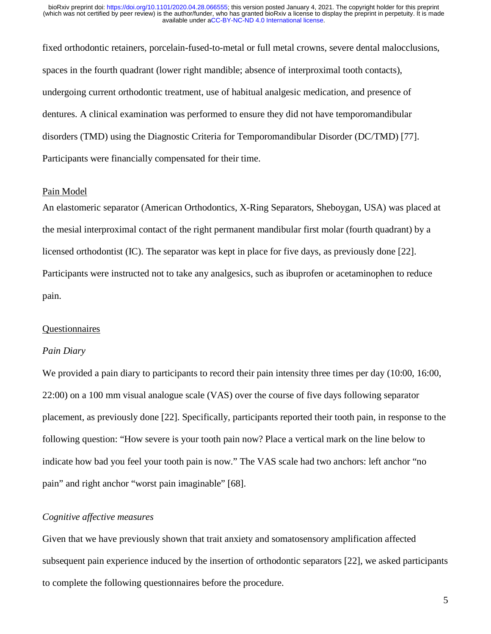fixed orthodontic retainers, porcelain-fused-to-metal or full metal crowns, severe dental malocclusions, spaces in the fourth quadrant (lower right mandible; absence of interproximal tooth contacts), undergoing current orthodontic treatment, use of habitual analgesic medication, and presence of dentures. A clinical examination was performed to ensure they did not have temporomandibular disorders (TMD) using the Diagnostic Criteria for Temporomandibular Disorder (DC/TMD) [77]. Participants were financially compensated for their time.

## Pain Model

An elastomeric separator (American Orthodontics, X-Ring Separators, Sheboygan, USA) was placed at the mesial interproximal contact of the right permanent mandibular first molar (fourth quadrant) by a licensed orthodontist (IC). The separator was kept in place for five days, as previously done [22]. Participants were instructed not to take any analgesics, such as ibuprofen or acetaminophen to reduce pain.

#### Questionnaires

#### *Pain Diary*

We provided a pain diary to participants to record their pain intensity three times per day (10:00, 16:00, 22:00) on a 100 mm visual analogue scale (VAS) over the course of five days following separator placement, as previously done [22]. Specifically, participants reported their tooth pain, in response to the following question: "How severe is your tooth pain now? Place a vertical mark on the line below to indicate how bad you feel your tooth pain is now." The VAS scale had two anchors: left anchor "no pain" and right anchor "worst pain imaginable" [68].

# *Cognitive affective measures*

Given that we have previously shown that trait anxiety and somatosensory amplification affected subsequent pain experience induced by the insertion of orthodontic separators [22], we asked participants to complete the following questionnaires before the procedure.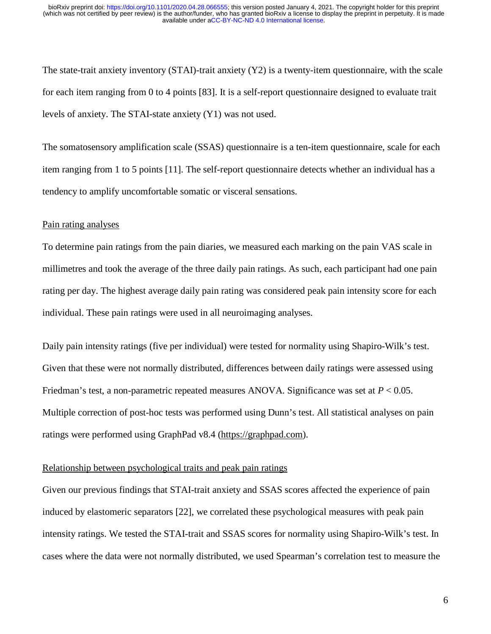The state-trait anxiety inventory (STAI)-trait anxiety (Y2) is a twenty-item questionnaire, with the scale for each item ranging from 0 to 4 points [83]. It is a self-report questionnaire designed to evaluate trait levels of anxiety. The STAI-state anxiety (Y1) was not used.

The somatosensory amplification scale (SSAS) questionnaire is a ten-item questionnaire, scale for each item ranging from 1 to 5 points [11]. The self-report questionnaire detects whether an individual has a tendency to amplify uncomfortable somatic or visceral sensations.

### Pain rating analyses

To determine pain ratings from the pain diaries, we measured each marking on the pain VAS scale in millimetres and took the average of the three daily pain ratings. As such, each participant had one pain rating per day. The highest average daily pain rating was considered peak pain intensity score for each individual. These pain ratings were used in all neuroimaging analyses.

Daily pain intensity ratings (five per individual) were tested for normality using Shapiro-Wilk's test. Given that these were not normally distributed, differences between daily ratings were assessed using Friedman's test, a non-parametric repeated measures ANOVA. Significance was set at *P* < 0.05. Multiple correction of post-hoc tests was performed using Dunn's test. All statistical analyses on pain ratings were performed using GraphPad v8.4 (https://graphpad.com).

## Relationship between psychological traits and peak pain ratings

Given our previous findings that STAI-trait anxiety and SSAS scores affected the experience of pain induced by elastomeric separators [22], we correlated these psychological measures with peak pain intensity ratings. We tested the STAI-trait and SSAS scores for normality using Shapiro-Wilk's test. In cases where the data were not normally distributed, we used Spearman's correlation test to measure the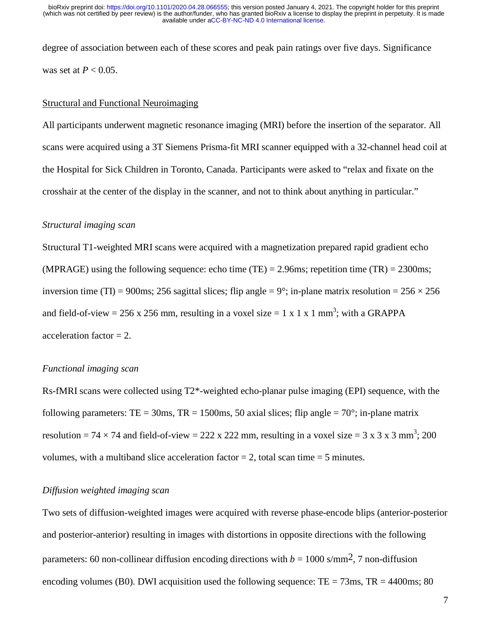degree of association between each of these scores and peak pain ratings over five days. Significance was set at *P* < 0.05.

## Structural and Functional Neuroimaging

All participants underwent magnetic resonance imaging (MRI) before the insertion of the separator. All scans were acquired using a 3T Siemens Prisma-fit MRI scanner equipped with a 32-channel head coil at the Hospital for Sick Children in Toronto, Canada. Participants were asked to "relax and fixate on the crosshair at the center of the display in the scanner, and not to think about anything in particular."

# *Structural imaging scan*

Structural T1-weighted MRI scans were acquired with a magnetization prepared rapid gradient echo (MPRAGE) using the following sequence: echo time (TE) = 2.96ms; repetition time (TR) = 2300ms; inversion time (TI) = 900ms; 256 sagittal slices; flip angle =  $9^{\circ}$ ; in-plane matrix resolution = 256  $\times$  256 and field-of-view = 256 x 256 mm, resulting in a voxel size = 1 x 1 x 1 mm<sup>3</sup>; with a GRAPPA acceleration factor  $= 2$ .

## *Functional imaging scan*

Rs-fMRI scans were collected using T2\*-weighted echo-planar pulse imaging (EPI) sequence, with the following parameters:  $TE = 30$ ms,  $TR = 1500$ ms, 50 axial slices; flip angle =  $70^{\circ}$ ; in-plane matrix resolution = 74  $\times$  74 and field-of-view = 222 x 222 mm, resulting in a voxel size = 3 x 3 x 3 mm<sup>3</sup>; 200 volumes, with a multiband slice acceleration factor  $= 2$ , total scan time  $= 5$  minutes.

## *Diffusion weighted imaging scan*

Two sets of diffusion-weighted images were acquired with reverse phase-encode blips (anterior-posterior and posterior-anterior) resulting in images with distortions in opposite directions with the following parameters: 60 non-collinear diffusion encoding directions with  $b = 1000 \text{ s/mm}^2$ , 7 non-diffusion encoding volumes (B0). DWI acquisition used the following sequence:  $TE = 73$ ms,  $TR = 4400$ ms; 80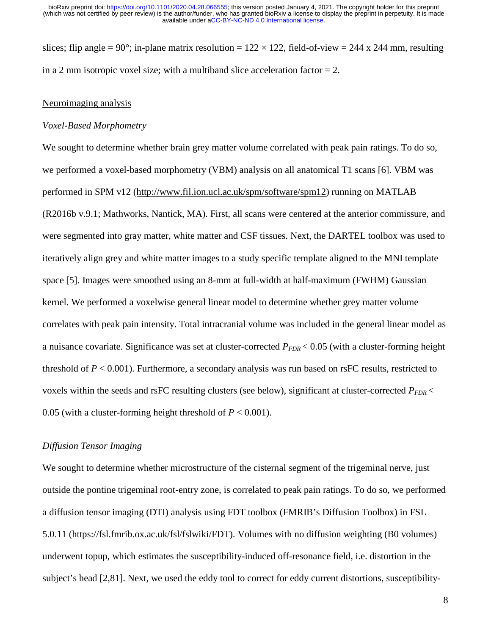slices; flip angle =  $90^{\circ}$ ; in-plane matrix resolution =  $122 \times 122$ , field-of-view = 244 x 244 mm, resulting in a 2 mm isotropic voxel size; with a multiband slice acceleration factor  $= 2$ .

### Neuroimaging analysis

#### *Voxel-Based Morphometry*

We sought to determine whether brain grey matter volume correlated with peak pain ratings. To do so, we performed a voxel-based morphometry (VBM) analysis on all anatomical T1 scans [6]. VBM was performed in SPM v12 (http://www.fil.ion.ucl.ac.uk/spm/software/spm12) running on MATLAB (R2016b v.9.1; Mathworks, Nantick, MA). First, all scans were centered at the anterior commissure, and were segmented into gray matter, white matter and CSF tissues. Next, the DARTEL toolbox was used to iteratively align grey and white matter images to a study specific template aligned to the MNI template space [5]. Images were smoothed using an 8-mm at full-width at half-maximum (FWHM) Gaussian kernel. We performed a voxelwise general linear model to determine whether grey matter volume correlates with peak pain intensity. Total intracranial volume was included in the general linear model as a nuisance covariate. Significance was set at cluster-corrected  $P_{FDR}$  < 0.05 (with a cluster-forming height threshold of  $P < 0.001$ ). Furthermore, a secondary analysis was run based on rsFC results, restricted to voxels within the seeds and rsFC resulting clusters (see below), significant at cluster-corrected  $P_{FDR}$ 0.05 (with a cluster-forming height threshold of *P* < 0.001).

### *Diffusion Tensor Imaging*

We sought to determine whether microstructure of the cisternal segment of the trigeminal nerve, just outside the pontine trigeminal root-entry zone, is correlated to peak pain ratings. To do so, we performed a diffusion tensor imaging (DTI) analysis using FDT toolbox (FMRIB's Diffusion Toolbox) in FSL 5.0.11 (https://fsl.fmrib.ox.ac.uk/fsl/fslwiki/FDT). Volumes with no diffusion weighting (B0 volumes) underwent topup, which estimates the susceptibility-induced off-resonance field, i.e. distortion in the subject's head [2,81]. Next, we used the eddy tool to correct for eddy current distortions, susceptibility-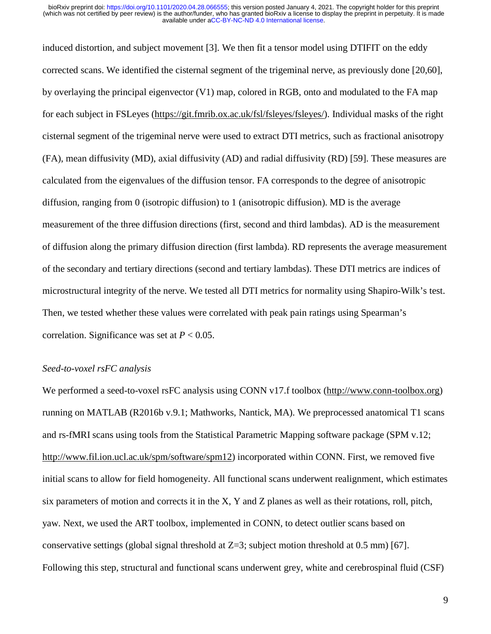induced distortion, and subject movement [3]. We then fit a tensor model using DTIFIT on the eddy corrected scans. We identified the cisternal segment of the trigeminal nerve, as previously done [20,60], by overlaying the principal eigenvector (V1) map, colored in RGB, onto and modulated to the FA map for each subject in FSLeyes (https://git.fmrib.ox.ac.uk/fsl/fsleyes/fsleyes/). Individual masks of the right cisternal segment of the trigeminal nerve were used to extract DTI metrics, such as fractional anisotropy (FA), mean diffusivity (MD), axial diffusivity (AD) and radial diffusivity (RD) [59]. These measures are calculated from the eigenvalues of the diffusion tensor. FA corresponds to the degree of anisotropic diffusion, ranging from 0 (isotropic diffusion) to 1 (anisotropic diffusion). MD is the average measurement of the three diffusion directions (first, second and third lambdas). AD is the measurement of diffusion along the primary diffusion direction (first lambda). RD represents the average measurement of the secondary and tertiary directions (second and tertiary lambdas). These DTI metrics are indices of microstructural integrity of the nerve. We tested all DTI metrics for normality using Shapiro-Wilk's test. Then, we tested whether these values were correlated with peak pain ratings using Spearman's correlation. Significance was set at *P* < 0.05.

## *Seed-to-voxel rsFC analysis*

We performed a seed-to-voxel rsFC analysis using CONN v17.f toolbox (http://www.conn-toolbox.org) running on MATLAB (R2016b v.9.1; Mathworks, Nantick, MA). We preprocessed anatomical T1 scans and rs-fMRI scans using tools from the Statistical Parametric Mapping software package (SPM v.12; http://www.fil.ion.ucl.ac.uk/spm/software/spm12) incorporated within CONN. First, we removed five initial scans to allow for field homogeneity. All functional scans underwent realignment, which estimates six parameters of motion and corrects it in the X, Y and Z planes as well as their rotations, roll, pitch, yaw. Next, we used the ART toolbox, implemented in CONN, to detect outlier scans based on conservative settings (global signal threshold at  $Z=3$ ; subject motion threshold at 0.5 mm) [67]. Following this step, structural and functional scans underwent grey, white and cerebrospinal fluid (CSF)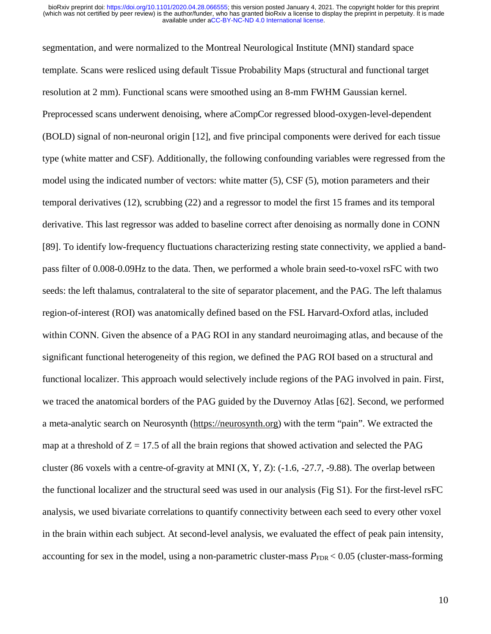segmentation, and were normalized to the Montreal Neurological Institute (MNI) standard space template. Scans were resliced using default Tissue Probability Maps (structural and functional target resolution at 2 mm). Functional scans were smoothed using an 8-mm FWHM Gaussian kernel. Preprocessed scans underwent denoising, where aCompCor regressed blood-oxygen-level-dependent (BOLD) signal of non-neuronal origin [12], and five principal components were derived for each tissue type (white matter and CSF). Additionally, the following confounding variables were regressed from the model using the indicated number of vectors: white matter (5), CSF (5), motion parameters and their temporal derivatives (12), scrubbing (22) and a regressor to model the first 15 frames and its temporal derivative. This last regressor was added to baseline correct after denoising as normally done in CONN [89]. To identify low-frequency fluctuations characterizing resting state connectivity, we applied a bandpass filter of 0.008-0.09Hz to the data. Then, we performed a whole brain seed-to-voxel rsFC with two seeds: the left thalamus, contralateral to the site of separator placement, and the PAG. The left thalamus region-of-interest (ROI) was anatomically defined based on the FSL Harvard-Oxford atlas, included within CONN. Given the absence of a PAG ROI in any standard neuroimaging atlas, and because of the significant functional heterogeneity of this region, we defined the PAG ROI based on a structural and functional localizer. This approach would selectively include regions of the PAG involved in pain. First, we traced the anatomical borders of the PAG guided by the Duvernoy Atlas [62]. Second, we performed a meta-analytic search on Neurosynth (https://neurosynth.org) with the term "pain". We extracted the map at a threshold of  $Z = 17.5$  of all the brain regions that showed activation and selected the PAG cluster (86 voxels with a centre-of-gravity at MNI  $(X, Y, Z)$ : (-1.6, -27.7, -9.88). The overlap between the functional localizer and the structural seed was used in our analysis (Fig S1). For the first-level rsFC analysis, we used bivariate correlations to quantify connectivity between each seed to every other voxel in the brain within each subject. At second-level analysis, we evaluated the effect of peak pain intensity, accounting for sex in the model, using a non-parametric cluster-mass  $P_{\text{FDR}}$  < 0.05 (cluster-mass-forming

10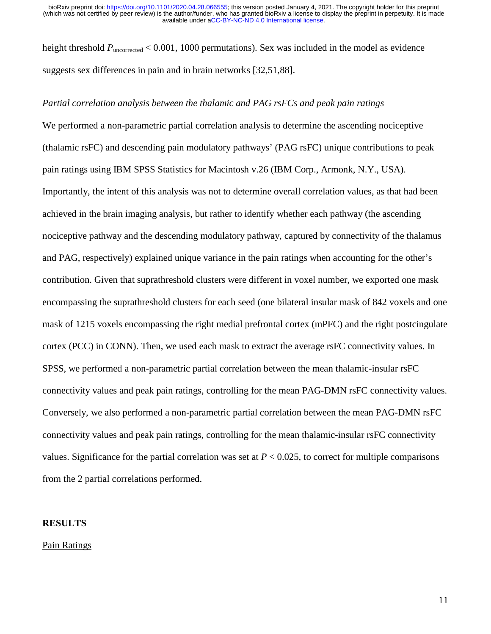height threshold  $P_{\text{uncorrected}}$  < 0.001, 1000 permutations). Sex was included in the model as evidence suggests sex differences in pain and in brain networks [32,51,88].

#### *Partial correlation analysis between the thalamic and PAG rsFCs and peak pain ratings*

We performed a non-parametric partial correlation analysis to determine the ascending nociceptive (thalamic rsFC) and descending pain modulatory pathways' (PAG rsFC) unique contributions to peak pain ratings using IBM SPSS Statistics for Macintosh v.26 (IBM Corp., Armonk, N.Y., USA). Importantly, the intent of this analysis was not to determine overall correlation values, as that had been achieved in the brain imaging analysis, but rather to identify whether each pathway (the ascending nociceptive pathway and the descending modulatory pathway, captured by connectivity of the thalamus and PAG, respectively) explained unique variance in the pain ratings when accounting for the other's contribution. Given that suprathreshold clusters were different in voxel number, we exported one mask encompassing the suprathreshold clusters for each seed (one bilateral insular mask of 842 voxels and one mask of 1215 voxels encompassing the right medial prefrontal cortex (mPFC) and the right postcingulate cortex (PCC) in CONN). Then, we used each mask to extract the average rsFC connectivity values. In SPSS, we performed a non-parametric partial correlation between the mean thalamic-insular rsFC connectivity values and peak pain ratings, controlling for the mean PAG-DMN rsFC connectivity values. Conversely, we also performed a non-parametric partial correlation between the mean PAG-DMN rsFC connectivity values and peak pain ratings, controlling for the mean thalamic-insular rsFC connectivity values. Significance for the partial correlation was set at  $P < 0.025$ , to correct for multiple comparisons from the 2 partial correlations performed.

#### **RESULTS**

#### Pain Ratings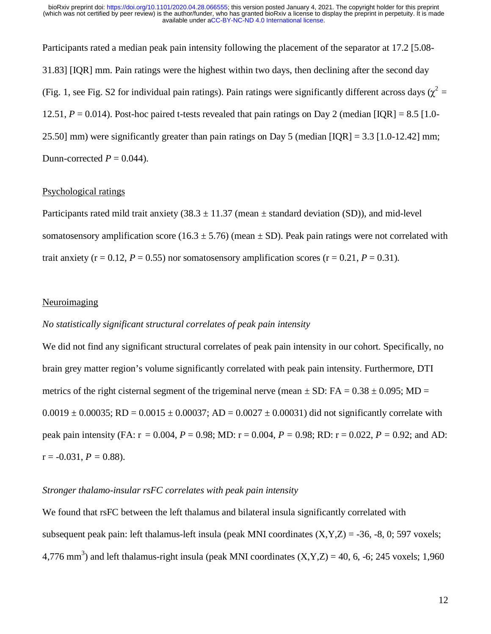Participants rated a median peak pain intensity following the placement of the separator at 17.2 [5.08- 31.83] [IQR] mm. Pain ratings were the highest within two days, then declining after the second day (Fig. 1, see Fig. S2 for individual pain ratings). Pain ratings were significantly different across days ( $\chi^2$  = 12.51,  $P = 0.014$ ). Post-hoc paired t-tests revealed that pain ratings on Day 2 (median [IQR] = 8.5 [1.0-25.50] mm) were significantly greater than pain ratings on Day 5 (median  $[IQR] = 3.3 [1.0-12.42]$  mm; Dunn-corrected  $P = 0.044$ ).

## Psychological ratings

Participants rated mild trait anxiety (38.3  $\pm$  11.37 (mean  $\pm$  standard deviation (SD)), and mid-level somatosensory amplification score (16.3  $\pm$  5.76) (mean  $\pm$  SD). Peak pain ratings were not correlated with trait anxiety ( $r = 0.12$ ,  $P = 0.55$ ) nor somatosensory amplification scores ( $r = 0.21$ ,  $P = 0.31$ ).

#### Neuroimaging

## *No statistically significant structural correlates of peak pain intensity*

We did not find any significant structural correlates of peak pain intensity in our cohort. Specifically, no brain grey matter region's volume significantly correlated with peak pain intensity. Furthermore, DTI metrics of the right cisternal segment of the trigeminal nerve (mean  $\pm$  SD: FA = 0.38  $\pm$  0.095; MD =  $0.0019 \pm 0.00035$ ; RD =  $0.0015 \pm 0.00037$ ; AD =  $0.0027 \pm 0.00031$ ) did not significantly correlate with peak pain intensity (FA: r = 0.004, *P* = 0.98; MD: r = 0.004, *P =* 0.98; RD: r = 0.022, *P =* 0.92; and AD:  $r = -0.031, P = 0.88$ .

#### *Stronger thalamo-insular rsFC correlates with peak pain intensity*

We found that rsFC between the left thalamus and bilateral insula significantly correlated with subsequent peak pain: left thalamus-left insula (peak MNI coordinates  $(X, Y, Z) = -36, -8, 0; 597$  voxels; 4,776 mm<sup>3</sup>) and left thalamus-right insula (peak MNI coordinates  $(X, Y, Z) = 40, 6, -6; 245$  voxels; 1,960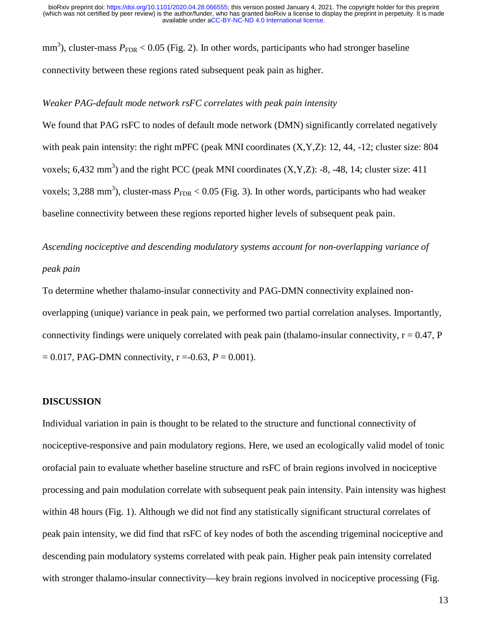$mm<sup>3</sup>$ ), cluster-mass  $P_{\text{FDR}}$  < 0.05 (Fig. 2). In other words, participants who had stronger baseline connectivity between these regions rated subsequent peak pain as higher.

#### *Weaker PAG-default mode network rsFC correlates with peak pain intensity*

We found that PAG rsFC to nodes of default mode network (DMN) significantly correlated negatively with peak pain intensity: the right mPFC (peak MNI coordinates  $(X, Y, Z)$ : 12, 44, -12; cluster size: 804 voxels; 6,432 mm<sup>3</sup>) and the right PCC (peak MNI coordinates  $(X, Y, Z)$ : -8, -48, 14; cluster size: 411 voxels; 3,288 mm<sup>3</sup>), cluster-mass  $P_{\text{FDR}}$  < 0.05 (Fig. 3). In other words, participants who had weaker baseline connectivity between these regions reported higher levels of subsequent peak pain.

*Ascending nociceptive and descending modulatory systems account for non-overlapping variance of peak pain* 

To determine whether thalamo-insular connectivity and PAG-DMN connectivity explained nonoverlapping (unique) variance in peak pain, we performed two partial correlation analyses. Importantly, connectivity findings were uniquely correlated with peak pain (thalamo-insular connectivity,  $r = 0.47$ , P  $= 0.017$ , PAG-DMN connectivity,  $r = -0.63$ ,  $P = 0.001$ ).

## **DISCUSSION**

Individual variation in pain is thought to be related to the structure and functional connectivity of nociceptive-responsive and pain modulatory regions. Here, we used an ecologically valid model of tonic orofacial pain to evaluate whether baseline structure and rsFC of brain regions involved in nociceptive processing and pain modulation correlate with subsequent peak pain intensity. Pain intensity was highest within 48 hours (Fig. 1). Although we did not find any statistically significant structural correlates of peak pain intensity, we did find that rsFC of key nodes of both the ascending trigeminal nociceptive and descending pain modulatory systems correlated with peak pain. Higher peak pain intensity correlated with stronger thalamo-insular connectivity—key brain regions involved in nociceptive processing (Fig.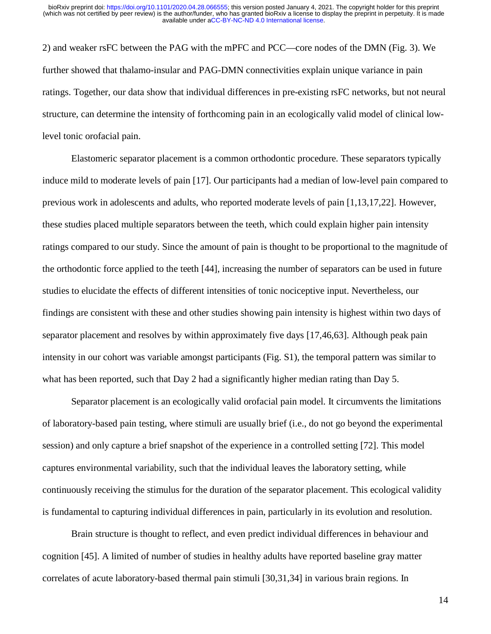2) and weaker rsFC between the PAG with the mPFC and PCC—core nodes of the DMN (Fig. 3). We further showed that thalamo-insular and PAG-DMN connectivities explain unique variance in pain ratings. Together, our data show that individual differences in pre-existing rsFC networks, but not neural structure, can determine the intensity of forthcoming pain in an ecologically valid model of clinical lowlevel tonic orofacial pain.

Elastomeric separator placement is a common orthodontic procedure. These separators typically induce mild to moderate levels of pain [17]. Our participants had a median of low-level pain compared to previous work in adolescents and adults, who reported moderate levels of pain [1,13,17,22]. However, these studies placed multiple separators between the teeth, which could explain higher pain intensity ratings compared to our study. Since the amount of pain is thought to be proportional to the magnitude of the orthodontic force applied to the teeth [44], increasing the number of separators can be used in future studies to elucidate the effects of different intensities of tonic nociceptive input. Nevertheless, our findings are consistent with these and other studies showing pain intensity is highest within two days of separator placement and resolves by within approximately five days [17,46,63]. Although peak pain intensity in our cohort was variable amongst participants (Fig. S1), the temporal pattern was similar to what has been reported, such that Day 2 had a significantly higher median rating than Day 5.

Separator placement is an ecologically valid orofacial pain model. It circumvents the limitations of laboratory-based pain testing, where stimuli are usually brief (i.e., do not go beyond the experimental session) and only capture a brief snapshot of the experience in a controlled setting [72]. This model captures environmental variability, such that the individual leaves the laboratory setting, while continuously receiving the stimulus for the duration of the separator placement. This ecological validity is fundamental to capturing individual differences in pain, particularly in its evolution and resolution.

Brain structure is thought to reflect, and even predict individual differences in behaviour and cognition [45]. A limited of number of studies in healthy adults have reported baseline gray matter correlates of acute laboratory-based thermal pain stimuli [30,31,34] in various brain regions. In

14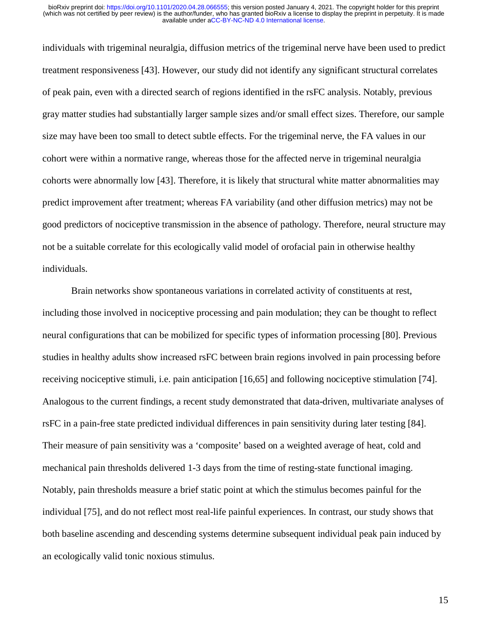individuals with trigeminal neuralgia, diffusion metrics of the trigeminal nerve have been used to predict treatment responsiveness [43]. However, our study did not identify any significant structural correlates of peak pain, even with a directed search of regions identified in the rsFC analysis. Notably, previous gray matter studies had substantially larger sample sizes and/or small effect sizes. Therefore, our sample size may have been too small to detect subtle effects. For the trigeminal nerve, the FA values in our cohort were within a normative range, whereas those for the affected nerve in trigeminal neuralgia cohorts were abnormally low [43]. Therefore, it is likely that structural white matter abnormalities may predict improvement after treatment; whereas FA variability (and other diffusion metrics) may not be good predictors of nociceptive transmission in the absence of pathology. Therefore, neural structure may not be a suitable correlate for this ecologically valid model of orofacial pain in otherwise healthy individuals.

Brain networks show spontaneous variations in correlated activity of constituents at rest, including those involved in nociceptive processing and pain modulation; they can be thought to reflect neural configurations that can be mobilized for specific types of information processing [80]. Previous studies in healthy adults show increased rsFC between brain regions involved in pain processing before receiving nociceptive stimuli, i.e. pain anticipation [16,65] and following nociceptive stimulation [74]. Analogous to the current findings, a recent study demonstrated that data-driven, multivariate analyses of rsFC in a pain-free state predicted individual differences in pain sensitivity during later testing [84]. Their measure of pain sensitivity was a 'composite' based on a weighted average of heat, cold and mechanical pain thresholds delivered 1-3 days from the time of resting-state functional imaging. Notably, pain thresholds measure a brief static point at which the stimulus becomes painful for the individual [75], and do not reflect most real-life painful experiences. In contrast, our study shows that both baseline ascending and descending systems determine subsequent individual peak pain induced by an ecologically valid tonic noxious stimulus.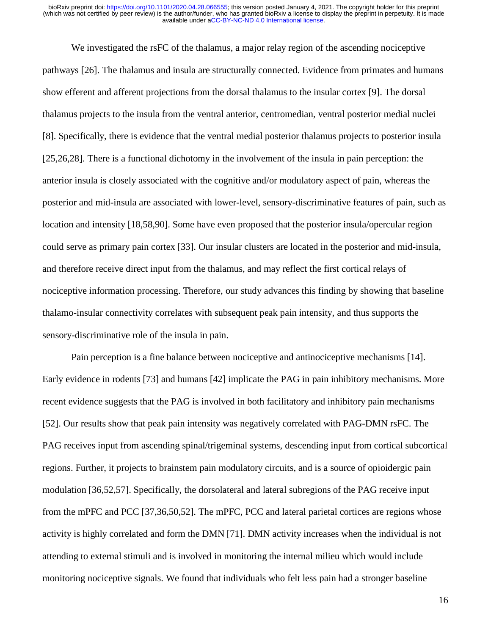We investigated the rsFC of the thalamus, a major relay region of the ascending nociceptive pathways [26]. The thalamus and insula are structurally connected. Evidence from primates and humans show efferent and afferent projections from the dorsal thalamus to the insular cortex [9]. The dorsal thalamus projects to the insula from the ventral anterior, centromedian, ventral posterior medial nuclei [8]. Specifically, there is evidence that the ventral medial posterior thalamus projects to posterior insula [25,26,28]. There is a functional dichotomy in the involvement of the insula in pain perception: the anterior insula is closely associated with the cognitive and/or modulatory aspect of pain, whereas the posterior and mid-insula are associated with lower-level, sensory-discriminative features of pain, such as location and intensity [18,58,90]. Some have even proposed that the posterior insula/opercular region could serve as primary pain cortex [33]. Our insular clusters are located in the posterior and mid-insula, and therefore receive direct input from the thalamus, and may reflect the first cortical relays of nociceptive information processing. Therefore, our study advances this finding by showing that baseline thalamo-insular connectivity correlates with subsequent peak pain intensity, and thus supports the sensory-discriminative role of the insula in pain.

Pain perception is a fine balance between nociceptive and antinociceptive mechanisms [14]. Early evidence in rodents [73] and humans [42] implicate the PAG in pain inhibitory mechanisms. More recent evidence suggests that the PAG is involved in both facilitatory and inhibitory pain mechanisms [52]. Our results show that peak pain intensity was negatively correlated with PAG-DMN rsFC. The PAG receives input from ascending spinal/trigeminal systems, descending input from cortical subcortical regions. Further, it projects to brainstem pain modulatory circuits, and is a source of opioidergic pain modulation [36,52,57]. Specifically, the dorsolateral and lateral subregions of the PAG receive input from the mPFC and PCC [37,36,50,52]. The mPFC, PCC and lateral parietal cortices are regions whose activity is highly correlated and form the DMN [71]. DMN activity increases when the individual is not attending to external stimuli and is involved in monitoring the internal milieu which would include monitoring nociceptive signals. We found that individuals who felt less pain had a stronger baseline

16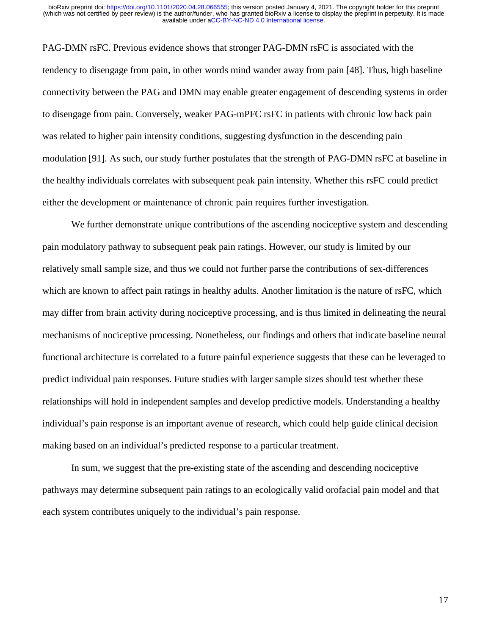PAG-DMN rsFC. Previous evidence shows that stronger PAG-DMN rsFC is associated with the tendency to disengage from pain, in other words mind wander away from pain [48]. Thus, high baseline connectivity between the PAG and DMN may enable greater engagement of descending systems in order to disengage from pain. Conversely, weaker PAG-mPFC rsFC in patients with chronic low back pain was related to higher pain intensity conditions, suggesting dysfunction in the descending pain modulation [91]. As such, our study further postulates that the strength of PAG-DMN rsFC at baseline in the healthy individuals correlates with subsequent peak pain intensity. Whether this rsFC could predict either the development or maintenance of chronic pain requires further investigation.

We further demonstrate unique contributions of the ascending nociceptive system and descending pain modulatory pathway to subsequent peak pain ratings. However, our study is limited by our relatively small sample size, and thus we could not further parse the contributions of sex-differences which are known to affect pain ratings in healthy adults. Another limitation is the nature of rsFC, which may differ from brain activity during nociceptive processing, and is thus limited in delineating the neural mechanisms of nociceptive processing. Nonetheless, our findings and others that indicate baseline neural functional architecture is correlated to a future painful experience suggests that these can be leveraged to predict individual pain responses. Future studies with larger sample sizes should test whether these relationships will hold in independent samples and develop predictive models. Understanding a healthy individual's pain response is an important avenue of research, which could help guide clinical decision making based on an individual's predicted response to a particular treatment.

In sum, we suggest that the pre-existing state of the ascending and descending nociceptive pathways may determine subsequent pain ratings to an ecologically valid orofacial pain model and that each system contributes uniquely to the individual's pain response.

17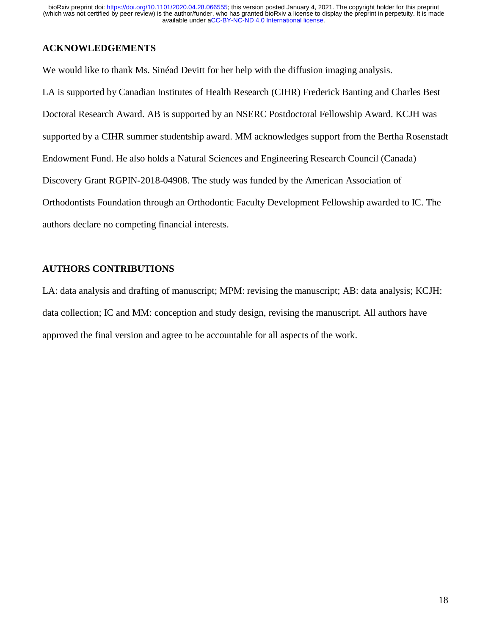# **ACKNOWLEDGEMENTS**

We would like to thank Ms. Sinéad Devitt for her help with the diffusion imaging analysis. LA is supported by Canadian Institutes of Health Research (CIHR) Frederick Banting and Charles Best Doctoral Research Award. AB is supported by an NSERC Postdoctoral Fellowship Award. KCJH was supported by a CIHR summer studentship award. MM acknowledges support from the Bertha Rosenstadt Endowment Fund. He also holds a Natural Sciences and Engineering Research Council (Canada) Discovery Grant RGPIN-2018-04908. The study was funded by the American Association of Orthodontists Foundation through an Orthodontic Faculty Development Fellowship awarded to IC. The authors declare no competing financial interests.

# **AUTHORS CONTRIBUTIONS**

LA: data analysis and drafting of manuscript; MPM: revising the manuscript; AB: data analysis; KCJH: data collection; IC and MM: conception and study design, revising the manuscript. All authors have approved the final version and agree to be accountable for all aspects of the work.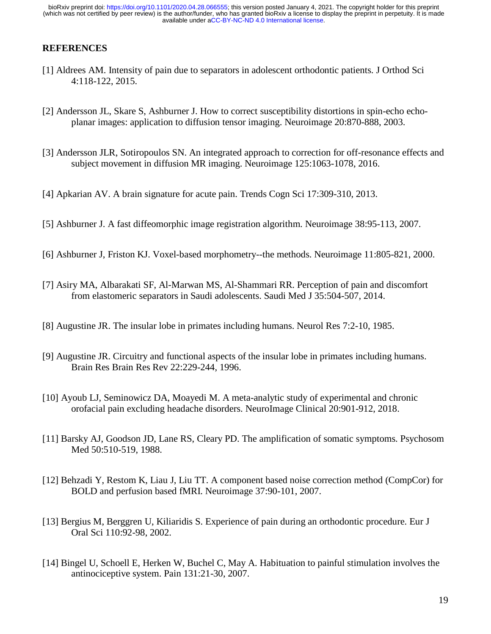## **REFERENCES**

- [1] Aldrees AM. Intensity of pain due to separators in adolescent orthodontic patients. J Orthod Sci 4:118-122, 2015.
- [2] Andersson JL, Skare S, Ashburner J. How to correct susceptibility distortions in spin-echo echoplanar images: application to diffusion tensor imaging. Neuroimage 20:870-888, 2003.
- [3] Andersson JLR, Sotiropoulos SN. An integrated approach to correction for off-resonance effects and subject movement in diffusion MR imaging. Neuroimage 125:1063-1078, 2016.
- [4] Apkarian AV. A brain signature for acute pain. Trends Cogn Sci 17:309-310, 2013.
- [5] Ashburner J. A fast diffeomorphic image registration algorithm. Neuroimage 38:95-113, 2007.
- [6] Ashburner J, Friston KJ. Voxel-based morphometry--the methods. Neuroimage 11:805-821, 2000.
- [7] Asiry MA, Albarakati SF, Al-Marwan MS, Al-Shammari RR. Perception of pain and discomfort from elastomeric separators in Saudi adolescents. Saudi Med J 35:504-507, 2014.
- [8] Augustine JR. The insular lobe in primates including humans. Neurol Res 7:2-10, 1985.
- [9] Augustine JR. Circuitry and functional aspects of the insular lobe in primates including humans. Brain Res Brain Res Rev 22:229-244, 1996.
- [10] Ayoub LJ, Seminowicz DA, Moayedi M. A meta-analytic study of experimental and chronic orofacial pain excluding headache disorders. NeuroImage Clinical 20:901-912, 2018.
- [11] Barsky AJ, Goodson JD, Lane RS, Cleary PD. The amplification of somatic symptoms. Psychosom Med 50:510-519, 1988.
- [12] Behzadi Y, Restom K, Liau J, Liu TT. A component based noise correction method (CompCor) for BOLD and perfusion based fMRI. Neuroimage 37:90-101, 2007.
- [13] Bergius M, Berggren U, Kiliaridis S. Experience of pain during an orthodontic procedure. Eur J Oral Sci 110:92-98, 2002.
- [14] Bingel U, Schoell E, Herken W, Buchel C, May A. Habituation to painful stimulation involves the antinociceptive system. Pain 131:21-30, 2007.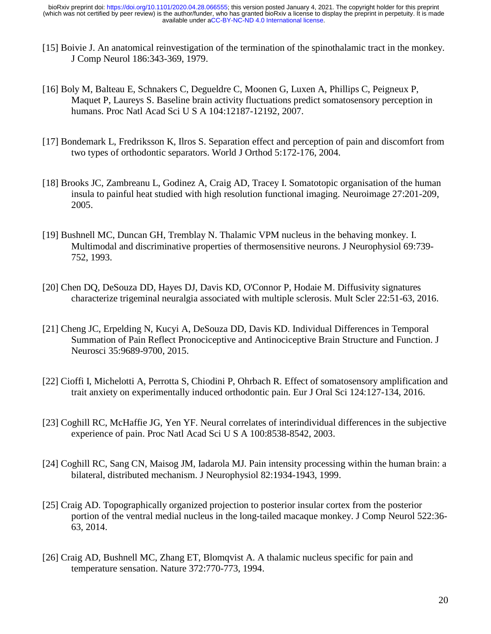- [15] Boivie J. An anatomical reinvestigation of the termination of the spinothalamic tract in the monkey. J Comp Neurol 186:343-369, 1979.
- [16] Boly M, Balteau E, Schnakers C, Degueldre C, Moonen G, Luxen A, Phillips C, Peigneux P, Maquet P, Laureys S. Baseline brain activity fluctuations predict somatosensory perception in humans. Proc Natl Acad Sci U S A 104:12187-12192, 2007.
- [17] Bondemark L, Fredriksson K, Ilros S. Separation effect and perception of pain and discomfort from two types of orthodontic separators. World J Orthod 5:172-176, 2004.
- [18] Brooks JC, Zambreanu L, Godinez A, Craig AD, Tracey I. Somatotopic organisation of the human insula to painful heat studied with high resolution functional imaging. Neuroimage 27:201-209, 2005.
- [19] Bushnell MC, Duncan GH, Tremblay N. Thalamic VPM nucleus in the behaving monkey. I. Multimodal and discriminative properties of thermosensitive neurons. J Neurophysiol 69:739- 752, 1993.
- [20] Chen DQ, DeSouza DD, Hayes DJ, Davis KD, O'Connor P, Hodaie M. Diffusivity signatures characterize trigeminal neuralgia associated with multiple sclerosis. Mult Scler 22:51-63, 2016.
- [21] Cheng JC, Erpelding N, Kucyi A, DeSouza DD, Davis KD. Individual Differences in Temporal Summation of Pain Reflect Pronociceptive and Antinociceptive Brain Structure and Function. J Neurosci 35:9689-9700, 2015.
- [22] Cioffi I, Michelotti A, Perrotta S, Chiodini P, Ohrbach R. Effect of somatosensory amplification and trait anxiety on experimentally induced orthodontic pain. Eur J Oral Sci 124:127-134, 2016.
- [23] Coghill RC, McHaffie JG, Yen YF. Neural correlates of interindividual differences in the subjective experience of pain. Proc Natl Acad Sci U S A 100:8538-8542, 2003.
- [24] Coghill RC, Sang CN, Maisog JM, Iadarola MJ. Pain intensity processing within the human brain: a bilateral, distributed mechanism. J Neurophysiol 82:1934-1943, 1999.
- [25] Craig AD. Topographically organized projection to posterior insular cortex from the posterior portion of the ventral medial nucleus in the long-tailed macaque monkey. J Comp Neurol 522:36- 63, 2014.
- [26] Craig AD, Bushnell MC, Zhang ET, Blomqvist A. A thalamic nucleus specific for pain and temperature sensation. Nature 372:770-773, 1994.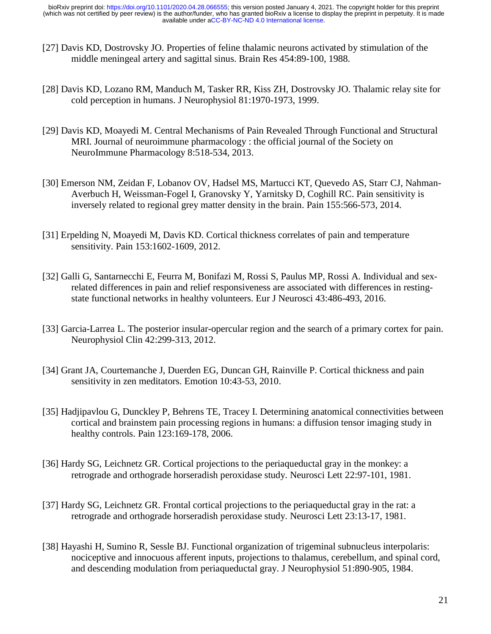- [27] Davis KD, Dostrovsky JO. Properties of feline thalamic neurons activated by stimulation of the middle meningeal artery and sagittal sinus. Brain Res 454:89-100, 1988.
- [28] Davis KD, Lozano RM, Manduch M, Tasker RR, Kiss ZH, Dostrovsky JO. Thalamic relay site for cold perception in humans. J Neurophysiol 81:1970-1973, 1999.
- [29] Davis KD, Moayedi M. Central Mechanisms of Pain Revealed Through Functional and Structural MRI. Journal of neuroimmune pharmacology : the official journal of the Society on NeuroImmune Pharmacology 8:518-534, 2013.
- [30] Emerson NM, Zeidan F, Lobanov OV, Hadsel MS, Martucci KT, Quevedo AS, Starr CJ, Nahman-Averbuch H, Weissman-Fogel I, Granovsky Y, Yarnitsky D, Coghill RC. Pain sensitivity is inversely related to regional grey matter density in the brain. Pain 155:566-573, 2014.
- [31] Erpelding N, Moayedi M, Davis KD. Cortical thickness correlates of pain and temperature sensitivity. Pain 153:1602-1609, 2012.
- [32] Galli G, Santarnecchi E, Feurra M, Bonifazi M, Rossi S, Paulus MP, Rossi A. Individual and sexrelated differences in pain and relief responsiveness are associated with differences in restingstate functional networks in healthy volunteers. Eur J Neurosci 43:486-493, 2016.
- [33] Garcia-Larrea L. The posterior insular-opercular region and the search of a primary cortex for pain. Neurophysiol Clin 42:299-313, 2012.
- [34] Grant JA, Courtemanche J, Duerden EG, Duncan GH, Rainville P. Cortical thickness and pain sensitivity in zen meditators. Emotion 10:43-53, 2010.
- [35] Hadjipavlou G, Dunckley P, Behrens TE, Tracey I. Determining anatomical connectivities between cortical and brainstem pain processing regions in humans: a diffusion tensor imaging study in healthy controls. Pain 123:169-178, 2006.
- [36] Hardy SG, Leichnetz GR. Cortical projections to the periaqueductal gray in the monkey: a retrograde and orthograde horseradish peroxidase study. Neurosci Lett 22:97-101, 1981.
- [37] Hardy SG, Leichnetz GR. Frontal cortical projections to the periaqueductal gray in the rat: a retrograde and orthograde horseradish peroxidase study. Neurosci Lett 23:13-17, 1981.
- [38] Hayashi H, Sumino R, Sessle BJ. Functional organization of trigeminal subnucleus interpolaris: nociceptive and innocuous afferent inputs, projections to thalamus, cerebellum, and spinal cord, and descending modulation from periaqueductal gray. J Neurophysiol 51:890-905, 1984.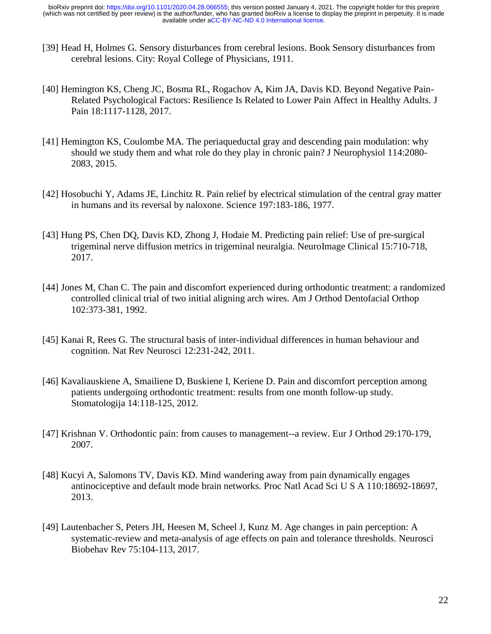- [39] Head H, Holmes G. Sensory disturbances from cerebral lesions. Book Sensory disturbances from cerebral lesions. City: Royal College of Physicians, 1911.
- [40] Hemington KS, Cheng JC, Bosma RL, Rogachov A, Kim JA, Davis KD. Beyond Negative Pain-Related Psychological Factors: Resilience Is Related to Lower Pain Affect in Healthy Adults. J Pain 18:1117-1128, 2017.
- [41] Hemington KS, Coulombe MA. The periaqueductal gray and descending pain modulation: why should we study them and what role do they play in chronic pain? J Neurophysiol 114:2080- 2083, 2015.
- [42] Hosobuchi Y, Adams JE, Linchitz R. Pain relief by electrical stimulation of the central gray matter in humans and its reversal by naloxone. Science 197:183-186, 1977.
- [43] Hung PS, Chen DQ, Davis KD, Zhong J, Hodaie M. Predicting pain relief: Use of pre-surgical trigeminal nerve diffusion metrics in trigeminal neuralgia. NeuroImage Clinical 15:710-718, 2017.
- [44] Jones M, Chan C. The pain and discomfort experienced during orthodontic treatment: a randomized controlled clinical trial of two initial aligning arch wires. Am J Orthod Dentofacial Orthop 102:373-381, 1992.
- [45] Kanai R, Rees G. The structural basis of inter-individual differences in human behaviour and cognition. Nat Rev Neurosci 12:231-242, 2011.
- [46] Kavaliauskiene A, Smailiene D, Buskiene I, Keriene D. Pain and discomfort perception among patients undergoing orthodontic treatment: results from one month follow-up study. Stomatologija 14:118-125, 2012.
- [47] Krishnan V. Orthodontic pain: from causes to management--a review. Eur J Orthod 29:170-179, 2007.
- [48] Kucyi A, Salomons TV, Davis KD. Mind wandering away from pain dynamically engages antinociceptive and default mode brain networks. Proc Natl Acad Sci U S A 110:18692-18697, 2013.
- [49] Lautenbacher S, Peters JH, Heesen M, Scheel J, Kunz M. Age changes in pain perception: A systematic-review and meta-analysis of age effects on pain and tolerance thresholds. Neurosci Biobehav Rev 75:104-113, 2017.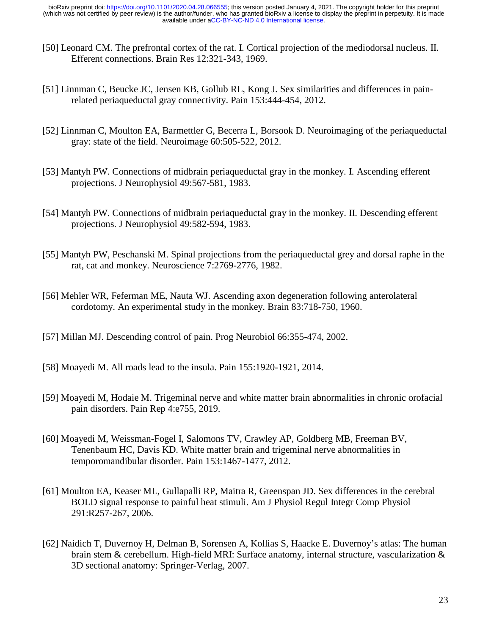- [50] Leonard CM. The prefrontal cortex of the rat. I. Cortical projection of the mediodorsal nucleus. II. Efferent connections. Brain Res 12:321-343, 1969.
- [51] Linnman C, Beucke JC, Jensen KB, Gollub RL, Kong J. Sex similarities and differences in painrelated periaqueductal gray connectivity. Pain 153:444-454, 2012.
- [52] Linnman C, Moulton EA, Barmettler G, Becerra L, Borsook D. Neuroimaging of the periaqueductal gray: state of the field. Neuroimage 60:505-522, 2012.
- [53] Mantyh PW. Connections of midbrain periaqueductal gray in the monkey. I. Ascending efferent projections. J Neurophysiol 49:567-581, 1983.
- [54] Mantyh PW. Connections of midbrain periaqueductal gray in the monkey. II. Descending efferent projections. J Neurophysiol 49:582-594, 1983.
- [55] Mantyh PW, Peschanski M. Spinal projections from the periaqueductal grey and dorsal raphe in the rat, cat and monkey. Neuroscience 7:2769-2776, 1982.
- [56] Mehler WR, Feferman ME, Nauta WJ. Ascending axon degeneration following anterolateral cordotomy. An experimental study in the monkey. Brain 83:718-750, 1960.
- [57] Millan MJ. Descending control of pain. Prog Neurobiol 66:355-474, 2002.
- [58] Moayedi M. All roads lead to the insula. Pain 155:1920-1921, 2014.
- [59] Moayedi M, Hodaie M. Trigeminal nerve and white matter brain abnormalities in chronic orofacial pain disorders. Pain Rep 4:e755, 2019.
- [60] Moayedi M, Weissman-Fogel I, Salomons TV, Crawley AP, Goldberg MB, Freeman BV, Tenenbaum HC, Davis KD. White matter brain and trigeminal nerve abnormalities in temporomandibular disorder. Pain 153:1467-1477, 2012.
- [61] Moulton EA, Keaser ML, Gullapalli RP, Maitra R, Greenspan JD. Sex differences in the cerebral BOLD signal response to painful heat stimuli. Am J Physiol Regul Integr Comp Physiol 291:R257-267, 2006.
- [62] Naidich T, Duvernoy H, Delman B, Sorensen A, Kollias S, Haacke E. Duvernoy's atlas: The human brain stem & cerebellum. High-field MRI: Surface anatomy, internal structure, vascularization & 3D sectional anatomy: Springer-Verlag, 2007.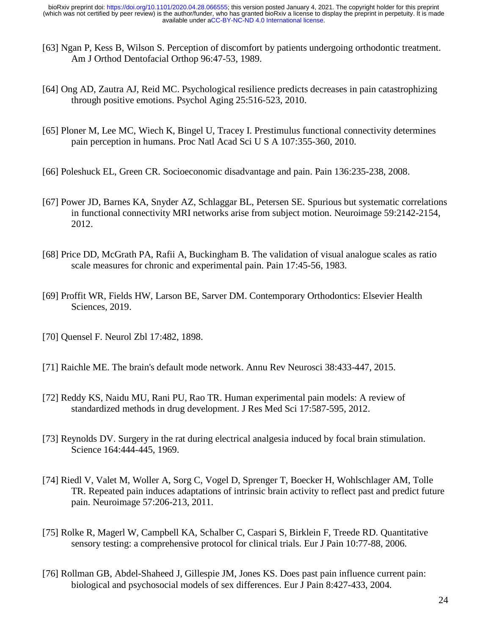- [63] Ngan P, Kess B, Wilson S. Perception of discomfort by patients undergoing orthodontic treatment. Am J Orthod Dentofacial Orthop 96:47-53, 1989.
- [64] Ong AD, Zautra AJ, Reid MC. Psychological resilience predicts decreases in pain catastrophizing through positive emotions. Psychol Aging 25:516-523, 2010.
- [65] Ploner M, Lee MC, Wiech K, Bingel U, Tracey I. Prestimulus functional connectivity determines pain perception in humans. Proc Natl Acad Sci U S A 107:355-360, 2010.
- [66] Poleshuck EL, Green CR. Socioeconomic disadvantage and pain. Pain 136:235-238, 2008.
- [67] Power JD, Barnes KA, Snyder AZ, Schlaggar BL, Petersen SE. Spurious but systematic correlations in functional connectivity MRI networks arise from subject motion. Neuroimage 59:2142-2154, 2012.
- [68] Price DD, McGrath PA, Rafii A, Buckingham B. The validation of visual analogue scales as ratio scale measures for chronic and experimental pain. Pain 17:45-56, 1983.
- [69] Proffit WR, Fields HW, Larson BE, Sarver DM. Contemporary Orthodontics: Elsevier Health Sciences, 2019.
- [70] Quensel F. Neurol Zbl 17:482, 1898.
- [71] Raichle ME. The brain's default mode network. Annu Rev Neurosci 38:433-447, 2015.
- [72] Reddy KS, Naidu MU, Rani PU, Rao TR. Human experimental pain models: A review of standardized methods in drug development. J Res Med Sci 17:587-595, 2012.
- [73] Reynolds DV. Surgery in the rat during electrical analgesia induced by focal brain stimulation. Science 164:444-445, 1969.
- [74] Riedl V, Valet M, Woller A, Sorg C, Vogel D, Sprenger T, Boecker H, Wohlschlager AM, Tolle TR. Repeated pain induces adaptations of intrinsic brain activity to reflect past and predict future pain. Neuroimage 57:206-213, 2011.
- [75] Rolke R, Magerl W, Campbell KA, Schalber C, Caspari S, Birklein F, Treede RD. Quantitative sensory testing: a comprehensive protocol for clinical trials. Eur J Pain 10:77-88, 2006.
- [76] Rollman GB, Abdel-Shaheed J, Gillespie JM, Jones KS. Does past pain influence current pain: biological and psychosocial models of sex differences. Eur J Pain 8:427-433, 2004.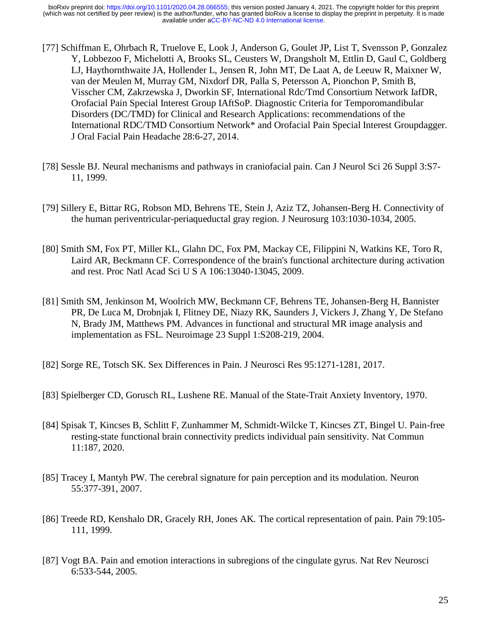- [77] Schiffman E, Ohrbach R, Truelove E, Look J, Anderson G, Goulet JP, List T, Svensson P, Gonzalez Y, Lobbezoo F, Michelotti A, Brooks SL, Ceusters W, Drangsholt M, Ettlin D, Gaul C, Goldberg LJ, Haythornthwaite JA, Hollender L, Jensen R, John MT, De Laat A, de Leeuw R, Maixner W, van der Meulen M, Murray GM, Nixdorf DR, Palla S, Petersson A, Pionchon P, Smith B, Visscher CM, Zakrzewska J, Dworkin SF, International Rdc/Tmd Consortium Network IafDR, Orofacial Pain Special Interest Group IAftSoP. Diagnostic Criteria for Temporomandibular Disorders (DC/TMD) for Clinical and Research Applications: recommendations of the International RDC/TMD Consortium Network\* and Orofacial Pain Special Interest Groupdagger. J Oral Facial Pain Headache 28:6-27, 2014.
- [78] Sessle BJ. Neural mechanisms and pathways in craniofacial pain. Can J Neurol Sci 26 Suppl 3:S7- 11, 1999.
- [79] Sillery E, Bittar RG, Robson MD, Behrens TE, Stein J, Aziz TZ, Johansen-Berg H. Connectivity of the human periventricular-periaqueductal gray region. J Neurosurg 103:1030-1034, 2005.
- [80] Smith SM, Fox PT, Miller KL, Glahn DC, Fox PM, Mackay CE, Filippini N, Watkins KE, Toro R, Laird AR, Beckmann CF. Correspondence of the brain's functional architecture during activation and rest. Proc Natl Acad Sci U S A 106:13040-13045, 2009.
- [81] Smith SM, Jenkinson M, Woolrich MW, Beckmann CF, Behrens TE, Johansen-Berg H, Bannister PR, De Luca M, Drobnjak I, Flitney DE, Niazy RK, Saunders J, Vickers J, Zhang Y, De Stefano N, Brady JM, Matthews PM. Advances in functional and structural MR image analysis and implementation as FSL. Neuroimage 23 Suppl 1:S208-219, 2004.
- [82] Sorge RE, Totsch SK. Sex Differences in Pain. J Neurosci Res 95:1271-1281, 2017.
- [83] Spielberger CD, Gorusch RL, Lushene RE. Manual of the State-Trait Anxiety Inventory, 1970.
- [84] Spisak T, Kincses B, Schlitt F, Zunhammer M, Schmidt-Wilcke T, Kincses ZT, Bingel U. Pain-free resting-state functional brain connectivity predicts individual pain sensitivity. Nat Commun 11:187, 2020.
- [85] Tracey I, Mantyh PW. The cerebral signature for pain perception and its modulation. Neuron 55:377-391, 2007.
- [86] Treede RD, Kenshalo DR, Gracely RH, Jones AK. The cortical representation of pain. Pain 79:105- 111, 1999.
- [87] Vogt BA. Pain and emotion interactions in subregions of the cingulate gyrus. Nat Rev Neurosci 6:533-544, 2005.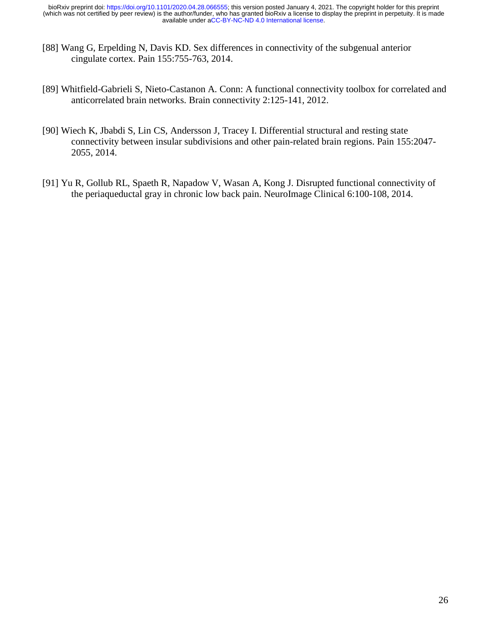- [88] Wang G, Erpelding N, Davis KD. Sex differences in connectivity of the subgenual anterior cingulate cortex. Pain 155:755-763, 2014.
- [89] Whitfield-Gabrieli S, Nieto-Castanon A. Conn: A functional connectivity toolbox for correlated and anticorrelated brain networks. Brain connectivity 2:125-141, 2012.
- [90] Wiech K, Jbabdi S, Lin CS, Andersson J, Tracey I. Differential structural and resting state connectivity between insular subdivisions and other pain-related brain regions. Pain 155:2047- 2055, 2014.
- [91] Yu R, Gollub RL, Spaeth R, Napadow V, Wasan A, Kong J. Disrupted functional connectivity of the periaqueductal gray in chronic low back pain. NeuroImage Clinical 6:100-108, 2014.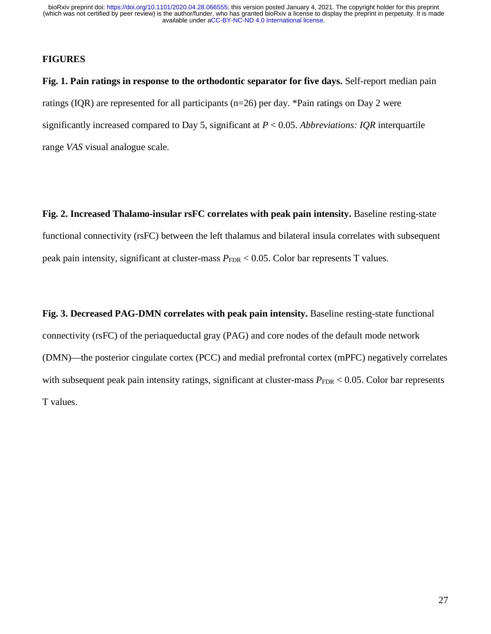# **FIGURES**

**Fig. 1. Pain ratings in response to the orthodontic separator for five days.** Self-report median pain ratings (IQR) are represented for all participants (n=26) per day. \*Pain ratings on Day 2 were significantly increased compared to Day 5, significant at *P* < 0.05. *Abbreviations: IQR* interquartile range *VAS* visual analogue scale.

**Fig. 2. Increased Thalamo-insular rsFC correlates with peak pain intensity.** Baseline resting-state functional connectivity (rsFC) between the left thalamus and bilateral insula correlates with subsequent peak pain intensity, significant at cluster-mass  $P_{\text{FDR}}$  < 0.05. Color bar represents T values.

**Fig. 3. Decreased PAG-DMN correlates with peak pain intensity.** Baseline resting-state functional connectivity (rsFC) of the periaqueductal gray (PAG) and core nodes of the default mode network (DMN)—the posterior cingulate cortex (PCC) and medial prefrontal cortex (mPFC) negatively correlates with subsequent peak pain intensity ratings, significant at cluster-mass  $P_{FDR}$  < 0.05. Color bar represents T values.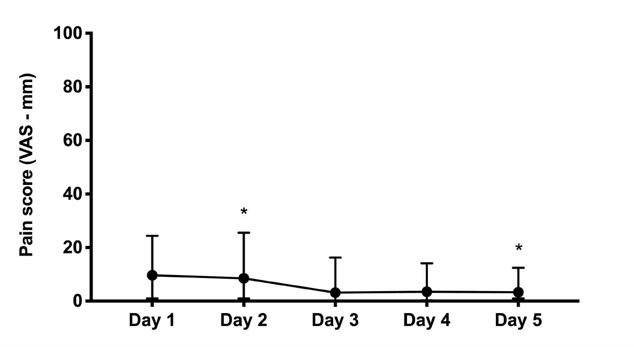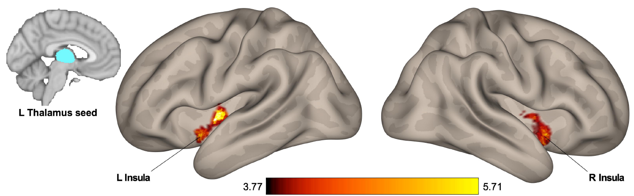